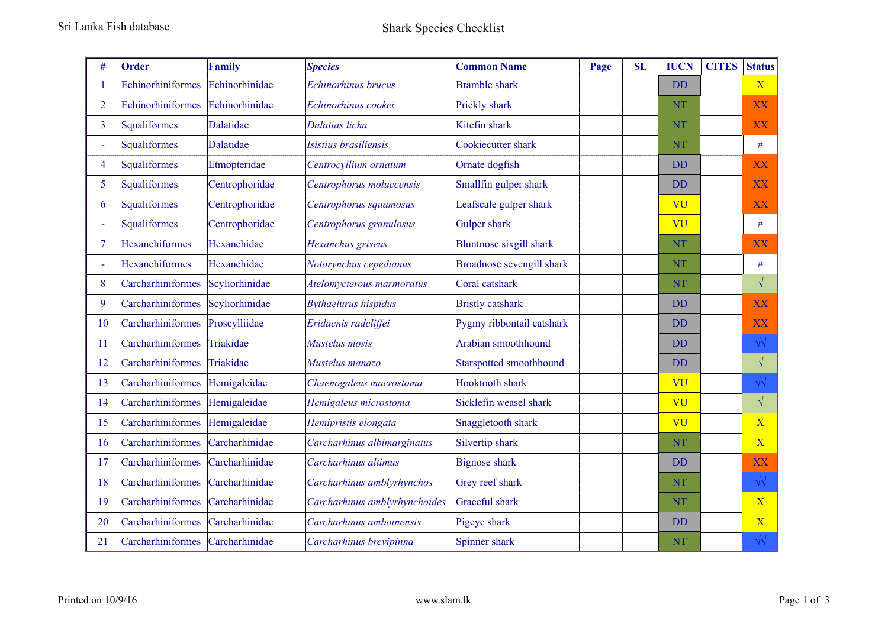| #              | Order                 | <b>Family</b>  | <b>Species</b>                | <b>Common Name</b>             | Page | <b>SL</b> | <b>IUCN</b> | <b>CITES</b> | <b>Status</b>           |
|----------------|-----------------------|----------------|-------------------------------|--------------------------------|------|-----------|-------------|--------------|-------------------------|
|                | Echinorhiniformes     | Echinorhinidae | Echinorhinus brucus           | <b>Bramble</b> shark           |      |           | <b>DD</b>   |              | $\mathbf X$             |
| $\overline{2}$ | Echinorhiniformes     | Echinorhinidae | Echinorhinus cookei           | Prickly shark                  |      |           | <b>NT</b>   |              | XX                      |
| 3              | Squaliformes          | Dalatidae      | Dalatias licha                | Kitefin shark                  |      |           | <b>NT</b>   |              | XX                      |
|                | Squaliformes          | Dalatidae      | Isistius brasiliensis         | Cookiecutter shark             |      |           | <b>NT</b>   |              | #                       |
| 4              | Squaliformes          | Etmopteridae   | Centrocyllium ornatum         | Ornate dogfish                 |      |           | <b>DD</b>   |              | XX                      |
| 5              | Squaliformes          | Centrophoridae | Centrophorus moluccensis      | Smallfin gulper shark          |      |           | <b>DD</b>   |              | XX                      |
| 6              | Squaliformes          | Centrophoridae | Centrophorus squamosus        | Leafscale gulper shark         |      |           | VU          |              | XX                      |
|                | Squaliformes          | Centrophoridae | Centrophorus granulosus       | Gulper shark                   |      |           | VU          |              | $\#$                    |
| $\tau$         | <b>Hexanchiformes</b> | Hexanchidae    | Hexanchus griseus             | <b>Bluntnose sixgill shark</b> |      |           | <b>NT</b>   |              | XX                      |
|                | Hexanchiformes        | Hexanchidae    | Notorynchus cepedianus        | Broadnose sevengill shark      |      |           | <b>NT</b>   |              | $\#$                    |
| 8              | Carcharhiniformes     | Scyliorhinidae | Atelomycterous marmoratus     | Coral catshark                 |      |           | <b>NT</b>   |              | $\sqrt{}$               |
| 9              | Carcharhiniformes     | Scyliorhinidae | <b>Bythaelurus hispidus</b>   | <b>Bristly catshark</b>        |      |           | <b>DD</b>   |              | XX                      |
| 10             | Carcharhiniformes     | Proscylliidae  | Eridacnis radcliffei          | Pygmy ribbontail catshark      |      |           | <b>DD</b>   |              | XX                      |
| 11             | Carcharhiniformes     | Triakidae      | Mustelus mosis                | Arabian smoothhound            |      |           | <b>DD</b>   |              | $\sqrt{2}$              |
| 12             | Carcharhiniformes     | Triakidae      | Mustelus manazo               | Starspotted smoothhound        |      |           | <b>DD</b>   |              | $\sqrt{}$               |
| 13             | Carcharhiniformes     | Hemigaleidae   | Chaenogaleus macrostoma       | Hooktooth shark                |      |           | VU          |              | $\sqrt{2}$              |
| 14             | Carcharhiniformes     | Hemigaleidae   | Hemigaleus microstoma         | Sicklefin weasel shark         |      |           | VU          |              | $\sqrt{}$               |
| 15             | Carcharhiniformes     | Hemigaleidae   | Hemipristis elongata          | Snaggletooth shark             |      |           | VU          |              | $\overline{\mathbf{X}}$ |
| 16             | Carcharhiniformes     | Carcharhinidae | Carcharhinus albimarginatus   | Silvertip shark                |      |           | <b>NT</b>   |              | $\overline{\mathbf{X}}$ |
| 17             | Carcharhiniformes     | Carcharhinidae | Carcharhinus altimus          | <b>Bignose</b> shark           |      |           | <b>DD</b>   |              | XX                      |
| 18             | Carcharhiniformes     | Carcharhinidae | Carcharhinus amblyrhynchos    | Grey reef shark                |      |           | <b>NT</b>   |              | $\sqrt{\sqrt{2}}$       |
| 19             | Carcharhiniformes     | Carcharhinidae | Carcharhinus amblyrhynchoides | <b>Graceful</b> shark          |      |           | NT          |              | $\overline{\mathbf{X}}$ |
| 20             | Carcharhiniformes     | Carcharhinidae | Carcharhinus amboinensis      | Pigeye shark                   |      |           | <b>DD</b>   |              | $\overline{\mathbf{X}}$ |
| 21             | Carcharhiniformes     | Carcharhinidae | Carcharhinus brevipinna       | Spinner shark                  |      |           | NT          |              | $\sqrt{\sqrt{2}}$       |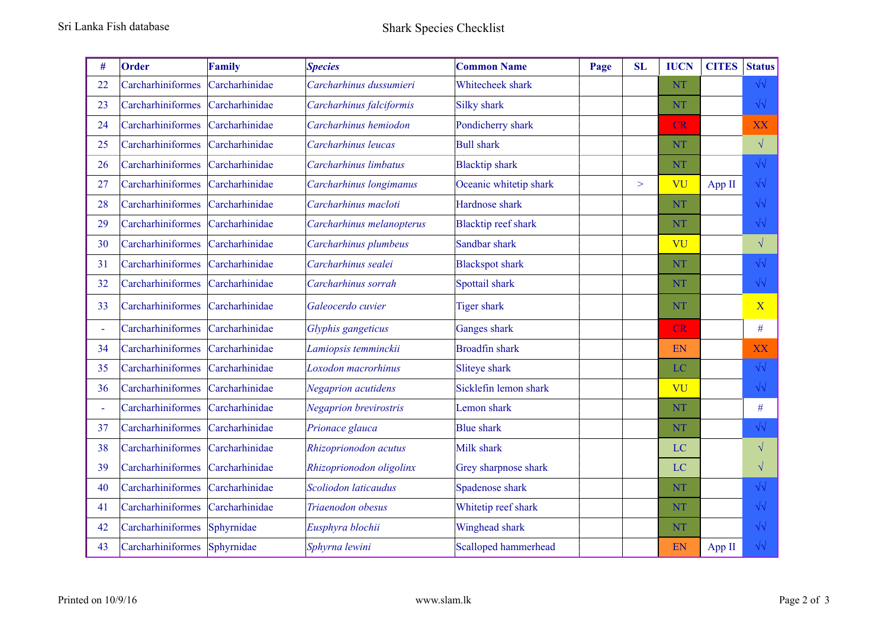| #              | Order             | <b>Family</b>  | <b>Species</b>            | <b>Common Name</b>         | Page | <b>SL</b> | <b>IUCN</b> | <b>CITES</b> | <b>Status</b>           |
|----------------|-------------------|----------------|---------------------------|----------------------------|------|-----------|-------------|--------------|-------------------------|
| 22             | Carcharhiniformes | Carcharhinidae | Carcharhinus dussumieri   | Whitecheek shark           |      |           | <b>NT</b>   |              | $\sqrt{\sqrt{2}}$       |
| 23             | Carcharhiniformes | Carcharhinidae | Carcharhinus falciformis  | <b>Silky shark</b>         |      |           | <b>NT</b>   |              | $\sqrt{2}$              |
| 24             | Carcharhiniformes | Carcharhinidae | Carcharhinus hemiodon     | Pondicherry shark          |      |           | CR          |              | XX                      |
| 25             | Carcharhiniformes | Carcharhinidae | Carcharhinus leucas       | <b>Bull shark</b>          |      |           | <b>NT</b>   |              | $\sqrt{ }$              |
| 26             | Carcharhiniformes | Carcharhinidae | Carcharhinus limbatus     | <b>Blacktip shark</b>      |      |           | <b>NT</b>   |              | $\sqrt{2}$              |
| 27             | Carcharhiniformes | Carcharhinidae | Carcharhinus longimanus   | Oceanic whitetip shark     |      | $\geq$    | VU          | App II       | $\sqrt{2}$              |
| 28             | Carcharhiniformes | Carcharhinidae | Carcharhinus macloti      | Hardnose shark             |      |           | <b>NT</b>   |              | $\sqrt{\sqrt{2}}$       |
| 29             | Carcharhiniformes | Carcharhinidae | Carcharhinus melanopterus | <b>Blacktip reef shark</b> |      |           | <b>NT</b>   |              | $\sqrt{2}$              |
| 30             | Carcharhiniformes | Carcharhinidae | Carcharhinus plumbeus     | Sandbar shark              |      |           | VU          |              | $\sqrt{ }$              |
| 31             | Carcharhiniformes | Carcharhinidae | Carcharhinus sealei       | <b>Blackspot shark</b>     |      |           | <b>NT</b>   |              | $\sqrt{\sqrt{2}}$       |
| 32             | Carcharhiniformes | Carcharhinidae | Carcharhinus sorrah       | Spottail shark             |      |           | <b>NT</b>   |              | $\sqrt{\sqrt{2}}$       |
| 33             | Carcharhiniformes | Carcharhinidae | Galeocerdo cuvier         | <b>Tiger shark</b>         |      |           | <b>NT</b>   |              | $\overline{\mathbf{X}}$ |
| $\blacksquare$ | Carcharhiniformes | Carcharhinidae | Glyphis gangeticus        | Ganges shark               |      |           | <b>CR</b>   |              | $\#$                    |
| 34             | Carcharhiniformes | Carcharhinidae | Lamiopsis temminckii      | <b>Broadfin shark</b>      |      |           | EN          |              | <b>XX</b>               |
| 35             | Carcharhiniformes | Carcharhinidae | Loxodon macrorhinus       | Sliteye shark              |      |           | LC          |              | $\sqrt{\sqrt{2}}$       |
| 36             | Carcharhiniformes | Carcharhinidae | Negaprion acutidens       | Sicklefin lemon shark      |      |           | VU          |              | $\sqrt{\sqrt{2}}$       |
| $\blacksquare$ | Carcharhiniformes | Carcharhinidae | Negaprion brevirostris    | Lemon shark                |      |           | <b>NT</b>   |              | $\#$                    |
| 37             | Carcharhiniformes | Carcharhinidae | Prionace glauca           | <b>Blue</b> shark          |      |           | <b>NT</b>   |              | $\sqrt{2}$              |
| 38             | Carcharhiniformes | Carcharhinidae | Rhizoprionodon acutus     | Milk shark                 |      |           | LC          |              | $\sqrt{}$               |
| 39             | Carcharhiniformes | Carcharhinidae | Rhizoprionodon oligolinx  | Grey sharpnose shark       |      |           | LC          |              | $\sqrt{}$               |
| 40             | Carcharhiniformes | Carcharhinidae | Scoliodon laticaudus      | Spadenose shark            |      |           | <b>NT</b>   |              | $\sqrt{2}$              |
| 41             | Carcharhiniformes | Carcharhinidae | Triaenodon obesus         | Whitetip reef shark        |      |           | <b>NT</b>   |              | $\sqrt{2}$              |
| 42             | Carcharhiniformes | Sphyrnidae     | Eusphyra blochii          | Winghead shark             |      |           | NT          |              | $\sqrt{2}$              |
| 43             | Carcharhiniformes | Sphyrnidae     | Sphyrna lewini            | Scalloped hammerhead       |      |           | EN          | App II       | $\sqrt{2}$              |